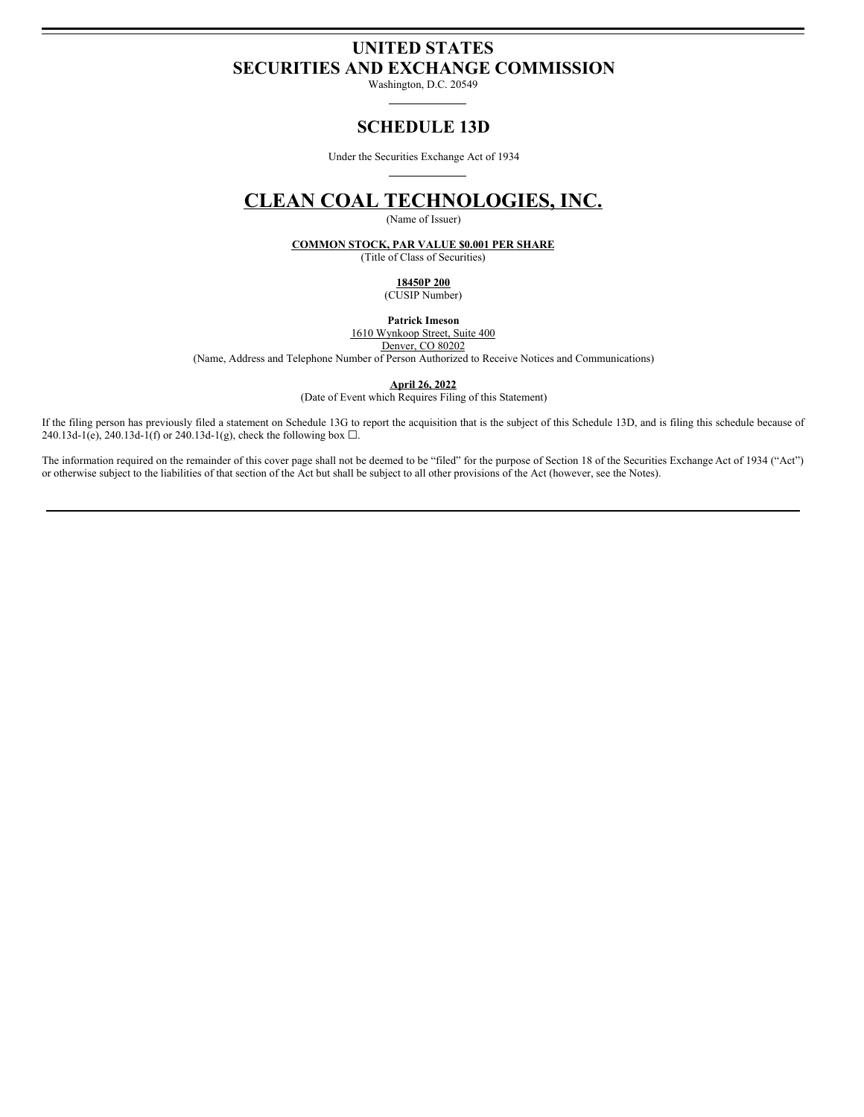# **UNITED STATES SECURITIES AND EXCHANGE COMMISSION**

Washington, D.C. 20549

# **SCHEDULE 13D**

Under the Securities Exchange Act of 1934

# **CLEAN COAL TECHNOLOGIES, INC.**

(Name of Issuer)

**COMMON STOCK, PAR VALUE \$0.001 PER SHARE**

(Title of Class of Securities)

**18450P 200**

(CUSIP Number)

**Patrick Imeson**

1610 Wynkoop Street, Suite 400 Denver, CO 80202

(Name, Address and Telephone Number of Person Authorized to Receive Notices and Communications)

**April 26, 2022**

(Date of Event which Requires Filing of this Statement)

If the filing person has previously filed a statement on Schedule 13G to report the acquisition that is the subject of this Schedule 13D, and is filing this schedule because of 240.13d-1(e), 240.13d-1(f) or 240.13d-1(g), check the following box  $\Box$ .

The information required on the remainder of this cover page shall not be deemed to be "filed" for the purpose of Section 18 of the Securities Exchange Act of 1934 ("Act") or otherwise subject to the liabilities of that section of the Act but shall be subject to all other provisions of the Act (however, see the Notes).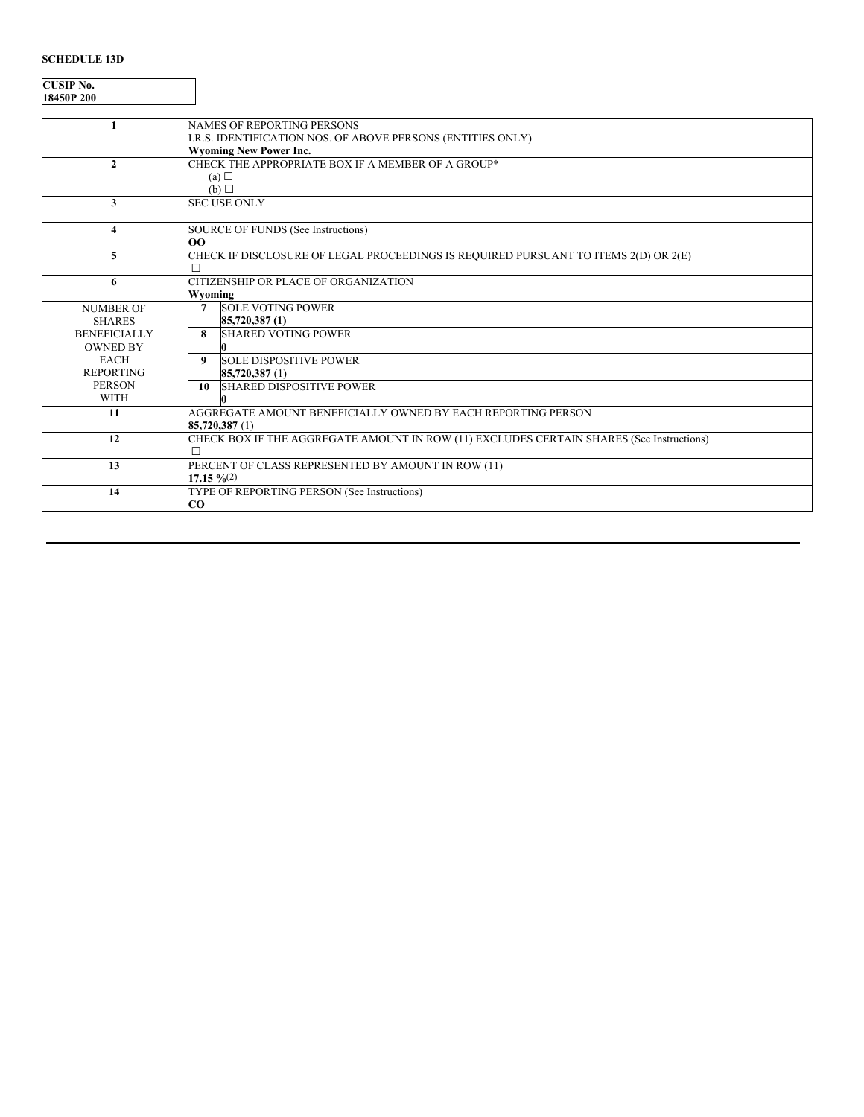## **SCHEDULE 13D**

**CUSIP No. 18450P 200**

|                     | <b>NAMES OF REPORTING PERSONS</b>                                                        |
|---------------------|------------------------------------------------------------------------------------------|
|                     | I.R.S. IDENTIFICATION NOS. OF ABOVE PERSONS (ENTITIES ONLY)                              |
|                     | <b>Wyoming New Power Inc.</b>                                                            |
| $\mathbf{2}$        | CHECK THE APPROPRIATE BOX IF A MEMBER OF A GROUP*                                        |
|                     | (a) $\square$                                                                            |
|                     | (b)                                                                                      |
| 3                   | <b>SEC USE ONLY</b>                                                                      |
|                     |                                                                                          |
| 4                   | SOURCE OF FUNDS (See Instructions)                                                       |
|                     | oo                                                                                       |
| 5                   | CHECK IF DISCLOSURE OF LEGAL PROCEEDINGS IS REQUIRED PURSUANT TO ITEMS 2(D) OR 2(E)      |
|                     |                                                                                          |
| 6                   | CITIZENSHIP OR PLACE OF ORGANIZATION                                                     |
|                     | Wyoming                                                                                  |
| <b>NUMBER OF</b>    | <b>SOLE VOTING POWER</b><br>7                                                            |
| <b>SHARES</b>       | 85,720,387(1)                                                                            |
| <b>BENEFICIALLY</b> | <b>SHARED VOTING POWER</b><br>8                                                          |
| <b>OWNED BY</b>     |                                                                                          |
| <b>EACH</b>         | <b>SOLE DISPOSITIVE POWER</b><br>9                                                       |
| <b>REPORTING</b>    | 85,720,387 (1)                                                                           |
| <b>PERSON</b>       | <b>SHARED DISPOSITIVE POWER</b><br>10                                                    |
| <b>WITH</b>         |                                                                                          |
| 11                  | AGGREGATE AMOUNT BENEFICIALLY OWNED BY EACH REPORTING PERSON                             |
|                     | 85,720,387 (1)                                                                           |
| 12                  | CHECK BOX IF THE AGGREGATE AMOUNT IN ROW (11) EXCLUDES CERTAIN SHARES (See Instructions) |
|                     |                                                                                          |
| 13                  | PERCENT OF CLASS REPRESENTED BY AMOUNT IN ROW (11)                                       |
|                     | $17.15 \frac{9}{6}(2)$                                                                   |
| 14                  | TYPE OF REPORTING PERSON (See Instructions)                                              |
|                     | $\bf CO$                                                                                 |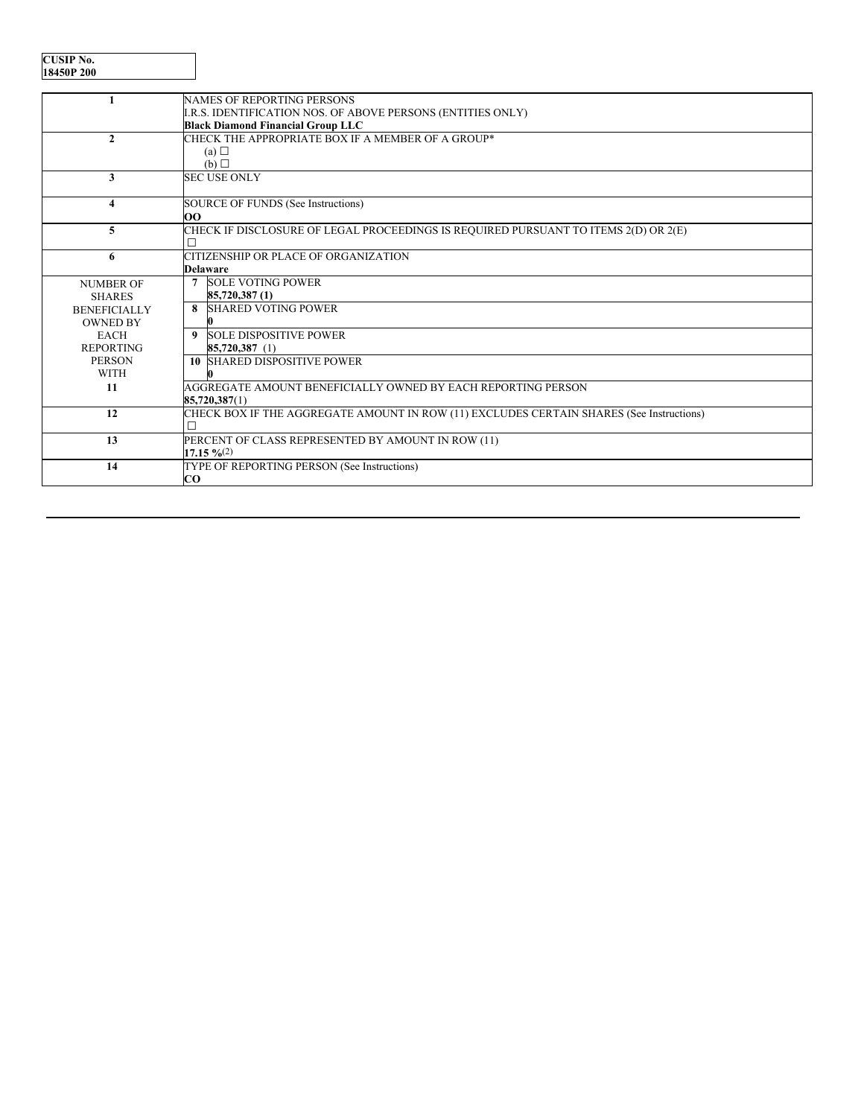| <b>CUSIP No.</b> |
|------------------|
| 18450P 200       |

|                     | <b>NAMES OF REPORTING PERSONS</b>                                                        |
|---------------------|------------------------------------------------------------------------------------------|
|                     | I.R.S. IDENTIFICATION NOS. OF ABOVE PERSONS (ENTITIES ONLY)                              |
|                     | <b>Black Diamond Financial Group LLC</b>                                                 |
| $\mathbf{2}$        | CHECK THE APPROPRIATE BOX IF A MEMBER OF A GROUP*                                        |
|                     | (a)                                                                                      |
|                     | (b)                                                                                      |
| 3                   | <b>SEC USE ONLY</b>                                                                      |
|                     |                                                                                          |
| 4                   | SOURCE OF FUNDS (See Instructions)                                                       |
|                     | OO                                                                                       |
| 5                   | CHECK IF DISCLOSURE OF LEGAL PROCEEDINGS IS REQUIRED PURSUANT TO ITEMS 2(D) OR 2(E)      |
|                     | П                                                                                        |
| 6                   | CITIZENSHIP OR PLACE OF ORGANIZATION                                                     |
|                     | <b>Delaware</b>                                                                          |
| <b>NUMBER OF</b>    | <b>SOLE VOTING POWER</b><br>$\overline{7}$                                               |
| <b>SHARES</b>       | 85,720,387(1)                                                                            |
| <b>BENEFICIALLY</b> | 8 SHARED VOTING POWER                                                                    |
| <b>OWNED BY</b>     |                                                                                          |
| <b>EACH</b>         | 9 SOLE DISPOSITIVE POWER                                                                 |
| <b>REPORTING</b>    | 85,720,387 (1)                                                                           |
| <b>PERSON</b>       | <b>10 SHARED DISPOSITIVE POWER</b>                                                       |
| <b>WITH</b>         |                                                                                          |
| 11                  | AGGREGATE AMOUNT BENEFICIALLY OWNED BY EACH REPORTING PERSON                             |
|                     | 85,720,387(1)                                                                            |
| 12                  | CHECK BOX IF THE AGGREGATE AMOUNT IN ROW (11) EXCLUDES CERTAIN SHARES (See Instructions) |
|                     |                                                                                          |
| 13                  | PERCENT OF CLASS REPRESENTED BY AMOUNT IN ROW (11)                                       |
|                     | $17.15\%$ (2)                                                                            |
| 14                  | TYPE OF REPORTING PERSON (See Instructions)                                              |
|                     | $\bf CO$                                                                                 |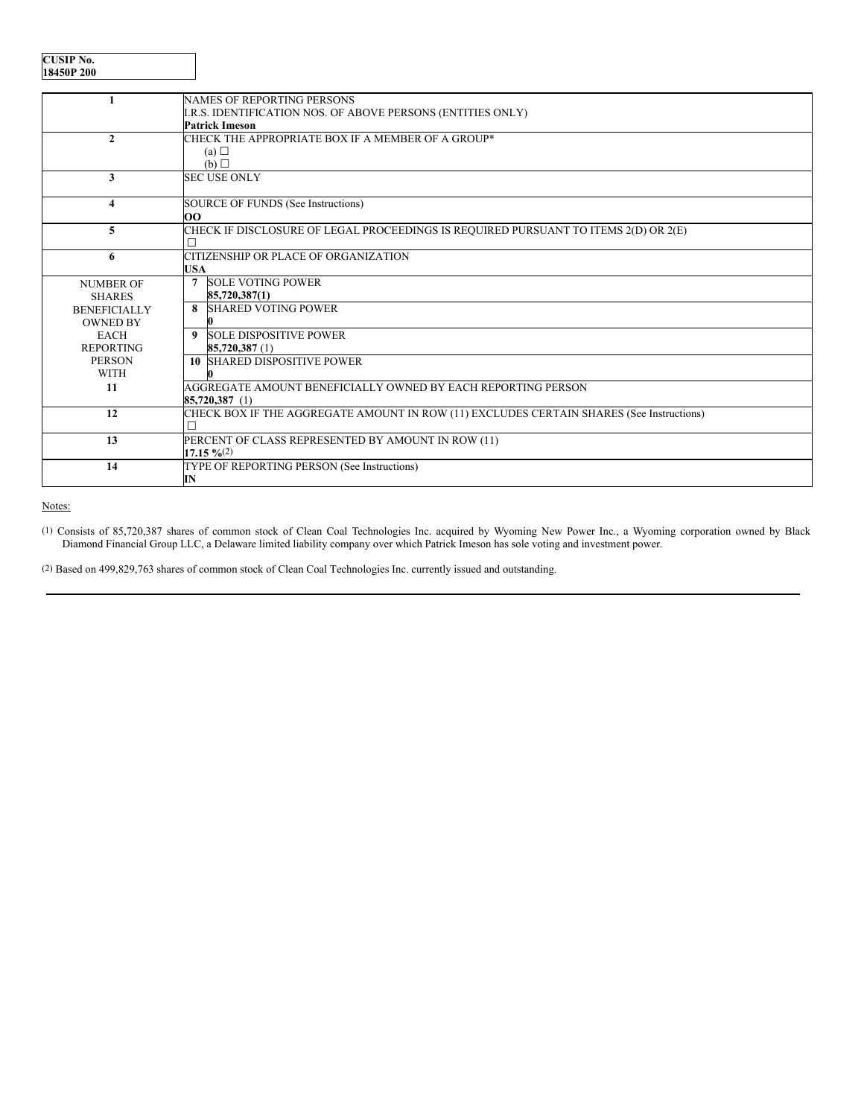| <b>CUSIP No.</b> |
|------------------|
| 18450P 200       |

|                     | NAMES OF REPORTING PERSONS                                                               |
|---------------------|------------------------------------------------------------------------------------------|
|                     | I.R.S. IDENTIFICATION NOS. OF ABOVE PERSONS (ENTITIES ONLY)                              |
|                     | <b>Patrick Imeson</b>                                                                    |
| $\mathbf{2}$        | CHECK THE APPROPRIATE BOX IF A MEMBER OF A GROUP*                                        |
|                     | (a) $\Box$                                                                               |
|                     | (b)                                                                                      |
| 3                   | <b>SEC USE ONLY</b>                                                                      |
|                     |                                                                                          |
| 4                   | SOURCE OF FUNDS (See Instructions)                                                       |
|                     | OO                                                                                       |
| 5                   | CHECK IF DISCLOSURE OF LEGAL PROCEEDINGS IS REQUIRED PURSUANT TO ITEMS 2(D) OR 2(E)      |
|                     |                                                                                          |
| 6                   | CITIZENSHIP OR PLACE OF ORGANIZATION                                                     |
|                     | <b>USA</b>                                                                               |
| <b>NUMBER OF</b>    | <b>SOLE VOTING POWER</b><br>$\overline{7}$                                               |
| <b>SHARES</b>       | 85,720,387(1)                                                                            |
| <b>BENEFICIALLY</b> | <b>8</b> SHARED VOTING POWER                                                             |
| <b>OWNED BY</b>     |                                                                                          |
| <b>EACH</b>         | 9 SOLE DISPOSITIVE POWER                                                                 |
| <b>REPORTING</b>    | 85,720,387 (1)                                                                           |
| <b>PERSON</b>       | <b>10 SHARED DISPOSITIVE POWER</b>                                                       |
| <b>WITH</b>         | n                                                                                        |
| 11                  | AGGREGATE AMOUNT BENEFICIALLY OWNED BY EACH REPORTING PERSON                             |
|                     | 85,720,387 (1)                                                                           |
| 12                  | CHECK BOX IF THE AGGREGATE AMOUNT IN ROW (11) EXCLUDES CERTAIN SHARES (See Instructions) |
|                     |                                                                                          |
| 13                  | PERCENT OF CLASS REPRESENTED BY AMOUNT IN ROW (11)                                       |
|                     | $17.15 \frac{9}{6}(2)$                                                                   |
| 14                  | TYPE OF REPORTING PERSON (See Instructions)                                              |
|                     | IN                                                                                       |

Notes:

(1) Consists of 85,720,387 shares of common stock of Clean Coal Technologies Inc. acquired by Wyoming New Power Inc., a Wyoming corporation owned by Black Diamond Financial Group LLC, a Delaware limited liability company over which Patrick Imeson has sole voting and investment power.

(2) Based on 499,829,763 shares of common stock of Clean Coal Technologies Inc. currently issued and outstanding.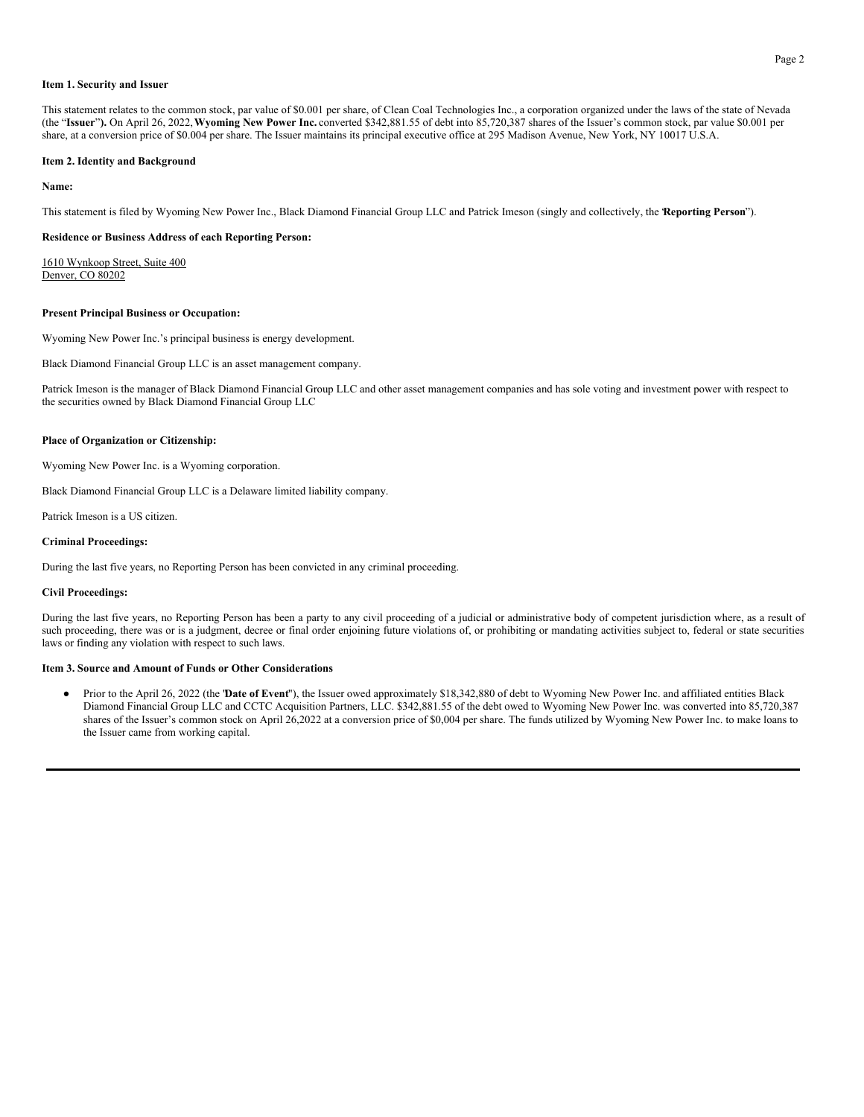#### **Item 1. Security and Issuer**

This statement relates to the common stock, par value of \$0.001 per share, of Clean Coal Technologies Inc., a corporation organized under the laws of the state of Nevada (the "**Issuer**"**).** On April 26, 2022,**Wyoming New Power Inc.** converted \$342,881.55 of debt into 85,720,387 shares of the Issuer's common stock, par value \$0.001 per share, at a conversion price of \$0.004 per share. The Issuer maintains its principal executive office at 295 Madison Avenue, New York, NY 10017 U.S.A.

#### **Item 2. Identity and Background**

#### **Name:**

This statement is filed by Wyoming New Power Inc., Black Diamond Financial Group LLC and Patrick Imeson (singly and collectively, the "**Reporting Person**").

#### **Residence or Business Address of each Reporting Person:**

1610 Wynkoop Street, Suite 400 Denver, CO 80202

#### **Present Principal Business or Occupation:**

Wyoming New Power Inc.'s principal business is energy development.

Black Diamond Financial Group LLC is an asset management company.

Patrick Imeson is the manager of Black Diamond Financial Group LLC and other asset management companies and has sole voting and investment power with respect to the securities owned by Black Diamond Financial Group LLC

#### **Place of Organization or Citizenship:**

Wyoming New Power Inc. is a Wyoming corporation.

Black Diamond Financial Group LLC is a Delaware limited liability company.

Patrick Imeson is a US citizen.

#### **Criminal Proceedings:**

During the last five years, no Reporting Person has been convicted in any criminal proceeding.

#### **Civil Proceedings:**

During the last five years, no Reporting Person has been a party to any civil proceeding of a judicial or administrative body of competent jurisdiction where, as a result of such proceeding, there was or is a judgment, decree or final order enjoining future violations of, or prohibiting or mandating activities subject to, federal or state securities laws or finding any violation with respect to such laws.

#### **Item 3. Source and Amount of Funds or Other Considerations**

● Prior to the April 26, 2022 (the "**Date of Event**"), the Issuer owed approximately \$18,342,880 of debt to Wyoming New Power Inc. and affiliated entities Black Diamond Financial Group LLC and CCTC Acquisition Partners, LLC. \$342,881.55 of the debt owed to Wyoming New Power Inc. was converted into 85,720,387 shares of the Issuer's common stock on April 26,2022 at a conversion price of \$0,004 per share. The funds utilized by Wyoming New Power Inc. to make loans to the Issuer came from working capital.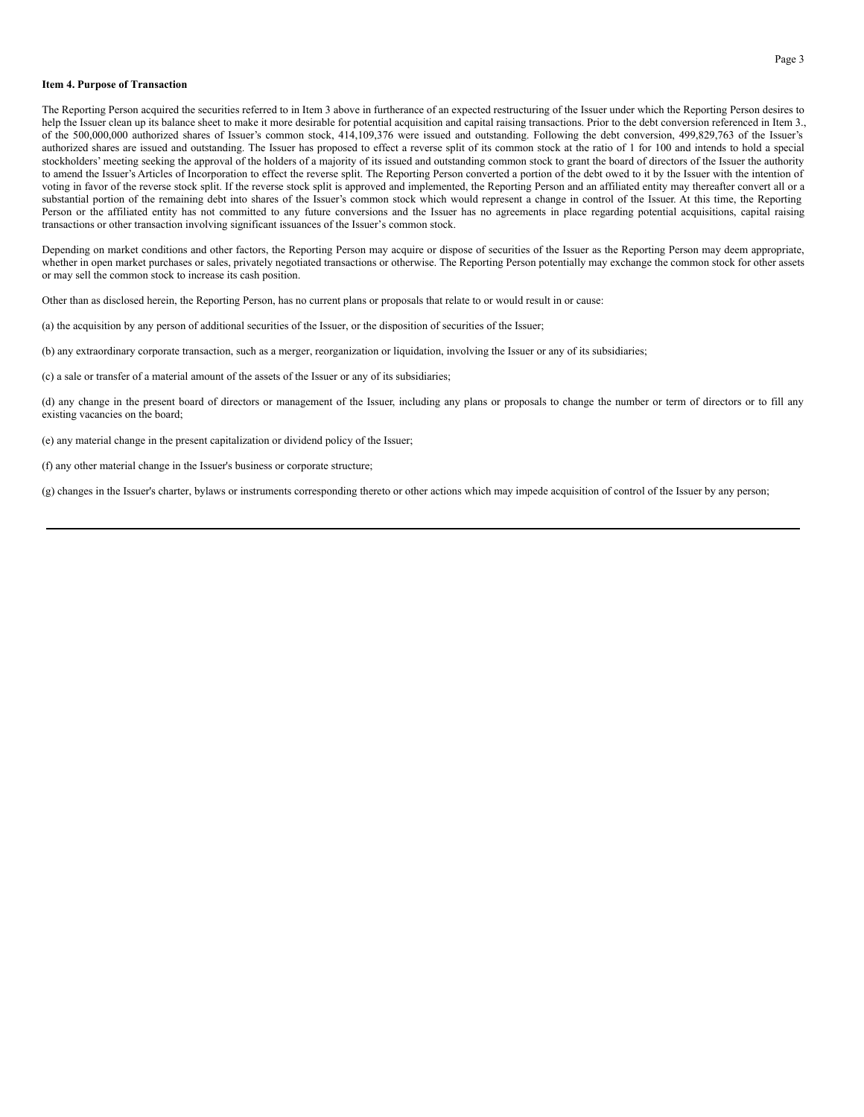#### **Item 4. Purpose of Transaction**

The Reporting Person acquired the securities referred to in Item 3 above in furtherance of an expected restructuring of the Issuer under which the Reporting Person desires to help the Issuer clean up its balance sheet to make it more desirable for potential acquisition and capital raising transactions. Prior to the debt conversion referenced in Item 3., of the 500,000,000 authorized shares of Issuer's common stock, 414,109,376 were issued and outstanding. Following the debt conversion, 499,829,763 of the Issuer's authorized shares are issued and outstanding. The Issuer has proposed to effect a reverse split of its common stock at the ratio of 1 for 100 and intends to hold a special stockholders' meeting seeking the approval of the holders of a majority of its issued and outstanding common stock to grant the board of directors of the Issuer the authority to amend the Issuer's Articles of Incorporation to effect the reverse split. The Reporting Person converted a portion of the debt owed to it by the Issuer with the intention of voting in favor of the reverse stock split. If the reverse stock split is approved and implemented, the Reporting Person and an affiliated entity may thereafter convert all or a substantial portion of the remaining debt into shares of the Issuer's common stock which would represent a change in control of the Issuer. At this time, the Reporting Person or the affiliated entity has not committed to any future conversions and the Issuer has no agreements in place regarding potential acquisitions, capital raising transactions or other transaction involving significant issuances of the Issuer's common stock.

Depending on market conditions and other factors, the Reporting Person may acquire or dispose of securities of the Issuer as the Reporting Person may deem appropriate, whether in open market purchases or sales, privately negotiated transactions or otherwise. The Reporting Person potentially may exchange the common stock for other assets or may sell the common stock to increase its cash position.

Other than as disclosed herein, the Reporting Person, has no current plans or proposals that relate to or would result in or cause:

(a) the acquisition by any person of additional securities of the Issuer, or the disposition of securities of the Issuer;

(b) any extraordinary corporate transaction, such as a merger, reorganization or liquidation, involving the Issuer or any of its subsidiaries;

(c) a sale or transfer of a material amount of the assets of the Issuer or any of its subsidiaries;

(d) any change in the present board of directors or management of the Issuer, including any plans or proposals to change the number or term of directors or to fill any existing vacancies on the board;

(e) any material change in the present capitalization or dividend policy of the Issuer;

(f) any other material change in the Issuer's business or corporate structure;

(g) changes in the Issuer's charter, bylaws or instruments corresponding thereto or other actions which may impede acquisition of control of the Issuer by any person;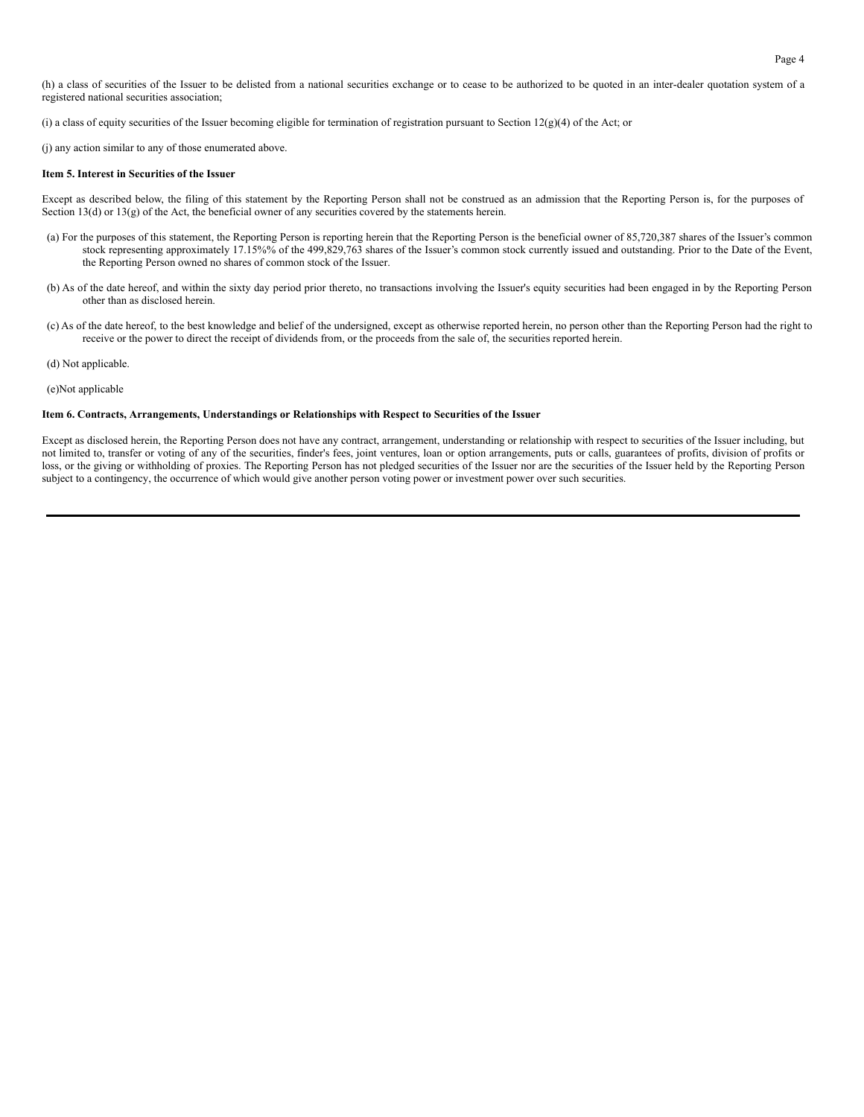(h) a class of securities of the Issuer to be delisted from a national securities exchange or to cease to be authorized to be quoted in an inter-dealer quotation system of a registered national securities association;

(i) a class of equity securities of the Issuer becoming eligible for termination of registration pursuant to Section 12(g)(4) of the Act; or

(j) any action similar to any of those enumerated above.

#### **Item 5. Interest in Securities of the Issuer**

Except as described below, the filing of this statement by the Reporting Person shall not be construed as an admission that the Reporting Person is, for the purposes of Section 13(d) or 13(g) of the Act, the beneficial owner of any securities covered by the statements herein.

- (a) For the purposes of this statement, the Reporting Person is reporting herein that the Reporting Person is the beneficial owner of 85,720,387 shares of the Issuer's common stock representing approximately 17.15%% of the 499,829,763 shares of the Issuer's common stock currently issued and outstanding. Prior to the Date of the Event, the Reporting Person owned no shares of common stock of the Issuer.
- (b) As of the date hereof, and within the sixty day period prior thereto, no transactions involving the Issuer's equity securities had been engaged in by the Reporting Person other than as disclosed herein.
- (c) As of the date hereof, to the best knowledge and belief of the undersigned, except as otherwise reported herein, no person other than the Reporting Person had the right to receive or the power to direct the receipt of dividends from, or the proceeds from the sale of, the securities reported herein.

(d) Not applicable.

#### (e)Not applicable

#### **Item 6. Contracts, Arrangements, Understandings or Relationships with Respect to Securities of the Issuer**

Except as disclosed herein, the Reporting Person does not have any contract, arrangement, understanding or relationship with respect to securities of the Issuer including, but not limited to, transfer or voting of any of the securities, finder's fees, joint ventures, loan or option arrangements, puts or calls, guarantees of profits, division of profits or loss, or the giving or withholding of proxies. The Reporting Person has not pledged securities of the Issuer nor are the securities of the Issuer held by the Reporting Person subject to a contingency, the occurrence of which would give another person voting power or investment power over such securities.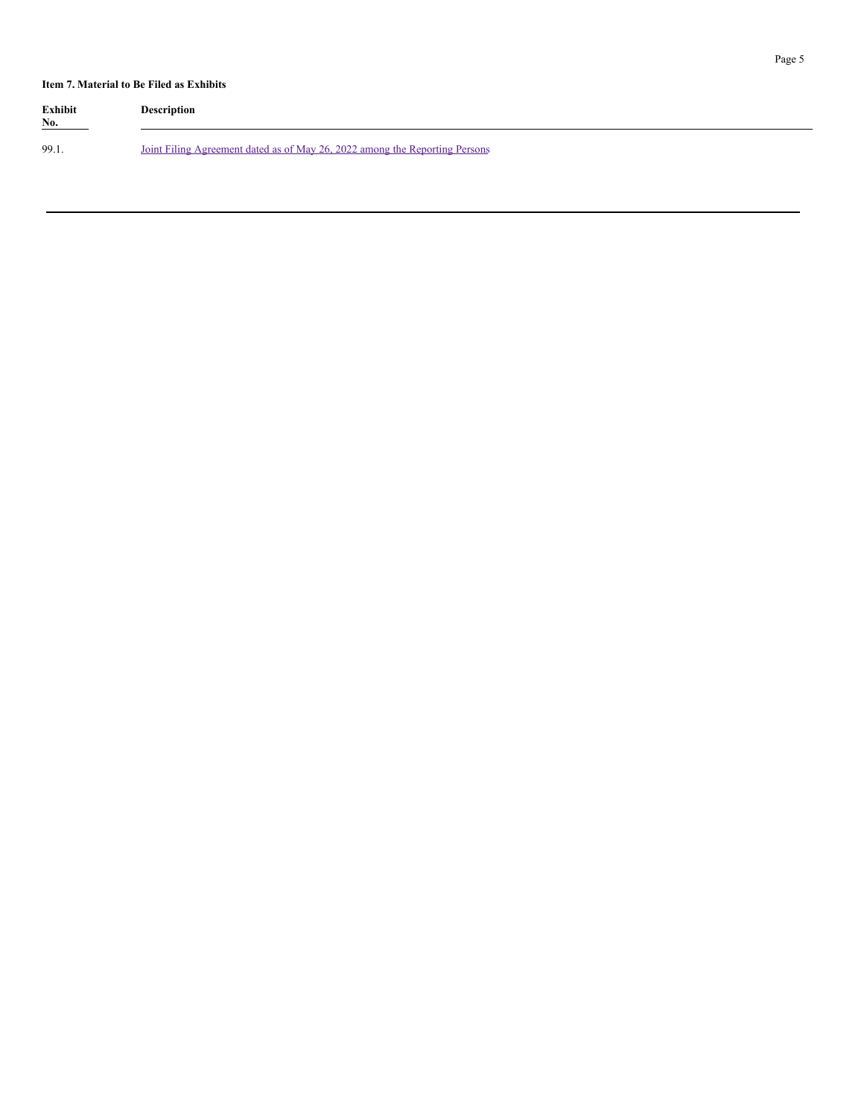## **Item 7. Material to Be Filed as Exhibits**

| <b>Exhibit</b><br>No. | <b>Description</b>                                                          |
|-----------------------|-----------------------------------------------------------------------------|
| 99.1                  | Joint Filing Agreement dated as of May 26, 2022 among the Reporting Persons |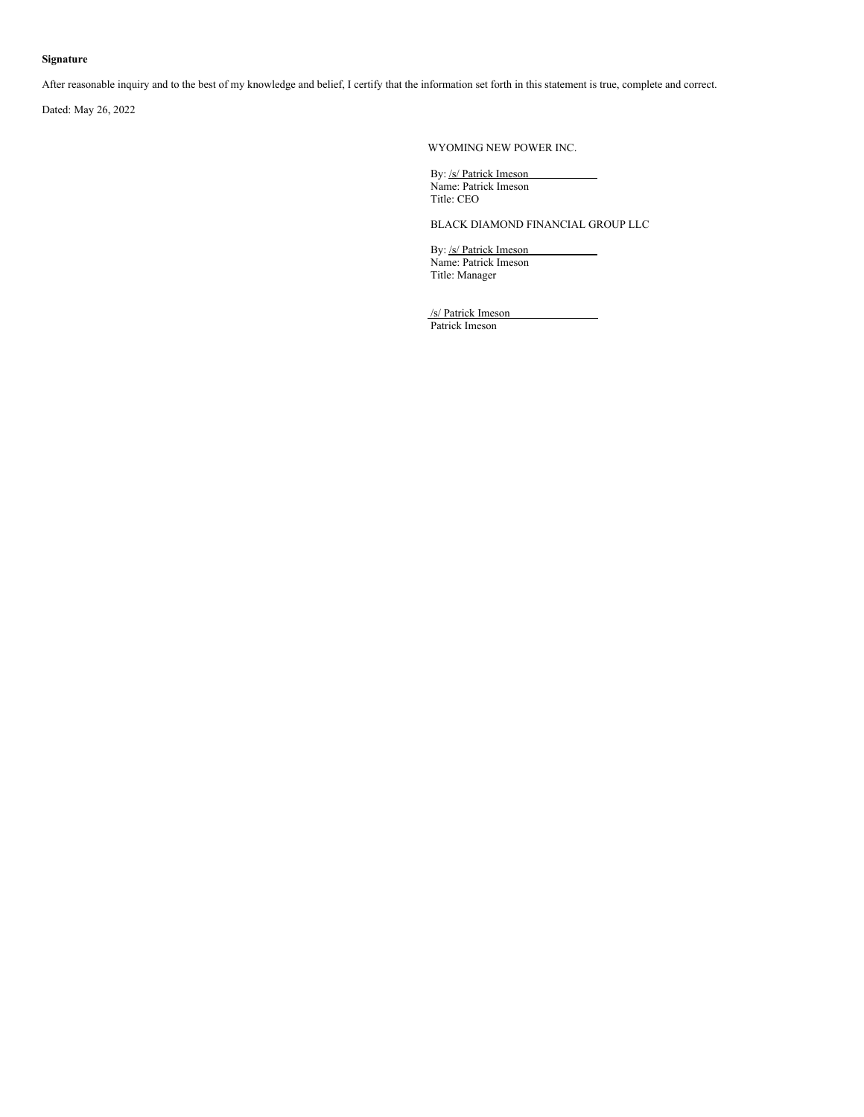## **Signature**

After reasonable inquiry and to the best of my knowledge and belief, I certify that the information set forth in this statement is true, complete and correct.

Dated: May 26, 2022

WYOMING NEW POWER INC.

By: /s/ Patrick Imeson Name: Patrick Imeson Title: CEO

BLACK DIAMOND FINANCIAL GROUP LLC

By: /s/ Patrick Imeson Name: Patrick Imeson Title: Manager

/s/ Patrick Imeson Patrick Imeson